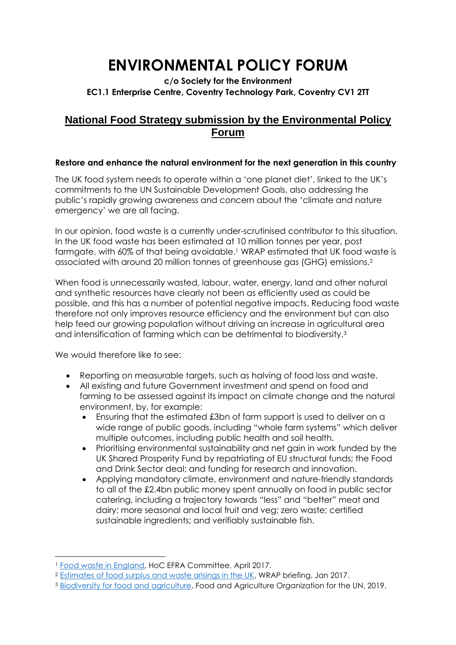# **ENVIRONMENTAL POLICY FORUM**

### **c/o Society for the Environment EC1.1 Enterprise Centre, Coventry Technology Park, Coventry CV1 2TT**

## **National Food Strategy submission by the Environmental Policy Forum**

#### **Restore and enhance the natural environment for the next generation in this country**

The UK food system needs to operate within a 'one planet diet', linked to the UK's commitments to the UN Sustainable Development Goals, also addressing the public's rapidly growing awareness and concern about the 'climate and nature emergency' we are all facing.

In our opinion, food waste is a currently under-scrutinised contributor to this situation. In the UK food waste has been estimated at 10 million tonnes per year, post farmgate, with 60% of that being avoidable.<sup>1</sup> WRAP estimated that UK food waste is associated with around 20 million tonnes of greenhouse gas (GHG) emissions.<sup>2</sup>

When food is unnecessarily wasted, labour, water, energy, land and other natural and synthetic resources have clearly not been as efficiently used as could be possible, and this has a number of potential negative impacts. Reducing food waste therefore not only improves resource efficiency and the environment but can also help feed our growing population without driving an increase in agricultural area and intensification of farming which can be detrimental to biodiversity.<sup>3</sup>

We would therefore like to see:

 $\overline{a}$ 

- Reporting on measurable targets, such as halving of food loss and waste.
- All existing and future Government investment and spend on food and farming to be assessed against its impact on climate change and the natural environment, by, for example:
	- Ensuring that the estimated £3bn of farm support is used to deliver on a wide range of public goods, including "whole farm systems" which deliver multiple outcomes, including public health and soil health.
	- Prioritising environmental sustainability and net gain in work funded by the UK Shared Prosperity Fund by repatriating of EU structural funds; the Food and Drink Sector deal; and funding for research and innovation.
	- Applying mandatory climate, environment and nature-friendly standards to all of the £2.4bn public money spent annually on food in public sector catering, including a trajectory towards "less" and "better" meat and dairy; more seasonal and local fruit and veg; zero waste; certified sustainable ingredients; and verifiably sustainable fish.

<sup>1</sup> Food waste in England, HoC EFRA Committee, April 2017.

<sup>2</sup> Estimates of food surplus and waste arisings in the UK, WRAP briefing, Jan 2017.

<sup>3</sup> Biodiversity for food and agriculture, Food and Agriculture Organization for the UN, 2019.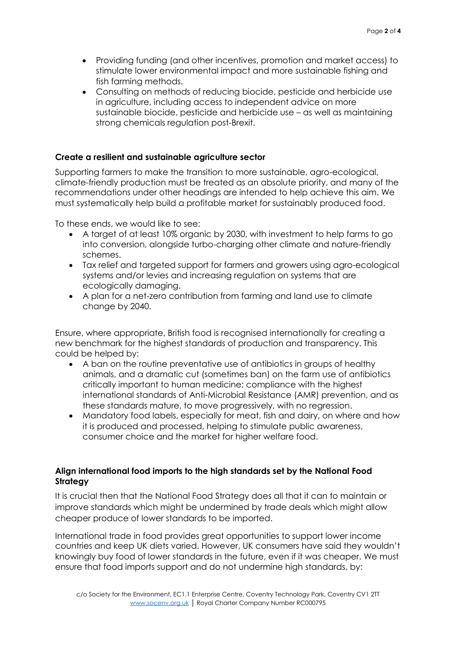- Providing funding (and other incentives, promotion and market access) to stimulate lower environmental impact and more sustainable fishing and fish farming methods.
- Consulting on methods of reducing biocide, pesticide and herbicide use in agriculture, including access to independent advice on more sustainable biocide, pesticide and herbicide use – as well as maintaining strong chemicals regulation post-Brexit.

#### **Create a resilient and sustainable agriculture sector**

Supporting farmers to make the transition to more sustainable, agro-ecological, climate-friendly production must be treated as an absolute priority, and many of the recommendations under other headings are intended to help achieve this aim. We must systematically help build a profitable market for sustainably produced food.

To these ends, we would like to see:

- A target of at least 10% organic by 2030, with investment to help farms to go into conversion, alongside turbo-charging other climate and nature-friendly schemes.
- Tax relief and targeted support for farmers and growers using agro-ecological systems and/or levies and increasing regulation on systems that are ecologically damaging.
- A plan for a net-zero contribution from farming and land use to climate change by 2040.

Ensure, where appropriate, British food is recognised internationally for creating a new benchmark for the highest standards of production and transparency. This could be helped by:

- A ban on the routine preventative use of antibiotics in groups of healthy animals, and a dramatic cut (sometimes ban) on the farm use of antibiotics critically important to human medicine; compliance with the highest international standards of Anti-Microbial Resistance (AMR) prevention, and as these standards mature, to move progressively, with no regression.
- Mandatory food labels, especially for meat, fish and dairy, on where and how it is produced and processed, helping to stimulate public awareness, consumer choice and the market for higher welfare food.

#### **Align international food imports to the high standards set by the National Food Strategy**

It is crucial then that the National Food Strategy does all that it can to maintain or improve standards which might be undermined by trade deals which might allow cheaper produce of lower standards to be imported.

International trade in food provides great opportunities to support lower income countries and keep UK diets varied. However, UK consumers have said they wouldn't knowingly buy food of lower standards in the future, even if it was cheaper. We must ensure that food imports support and do not undermine high standards, by: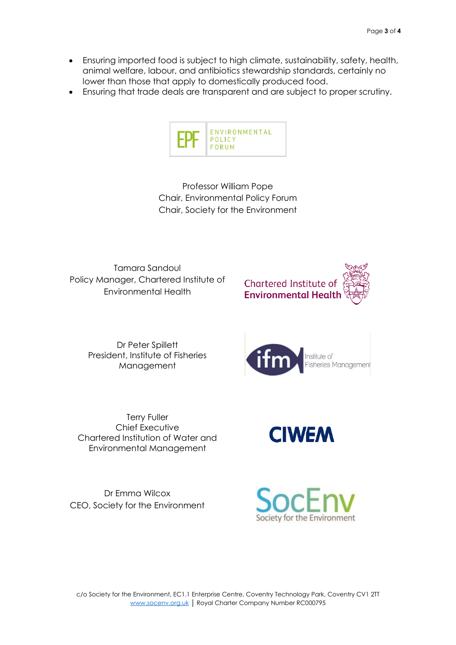- Ensuring imported food is subject to high climate, sustainability, safety, health, animal welfare, labour, and antibiotics stewardship standards, certainly no lower than those that apply to domestically produced food.
- Ensuring that trade deals are transparent and are subject to proper scrutiny.



Professor William Pope Chair, Environmental Policy Forum Chair, Society for the Environment

Tamara Sandoul Policy Manager, Chartered Institute of Environmental Health

Chartered Institute of **Environmental Health** 



Dr Peter Spillett President, Institute of Fisheries Management



Terry Fuller Chief Executive Chartered Institution of Water and Environmental Management

Dr Emma Wilcox CEO, Society for the Environment



**CIWEM**